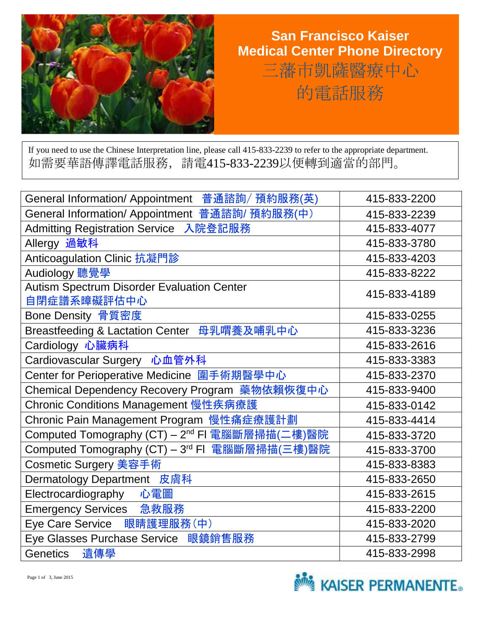

## **San Francisco Kaiser Medical Center Phone Directory**  三藩市凱薩醫療中心 的電話服務

If you need to use the Chinese Interpretation line, please call 415-833-2239 to refer to the appropriate department. 如需要華語傳譯電話服務,請電415-833-2239以便轉到適當的部門。

| General Information/ Appointment 普通諮詢/ 預約服務(英)                   | 415-833-2200 |
|------------------------------------------------------------------|--------------|
| General Information/ Appointment 普通諮詢/ 預約服務(中)                   | 415-833-2239 |
| Admitting Registration Service 入院登記服務                            | 415-833-4077 |
| Allergy 過敏科                                                      | 415-833-3780 |
| Anticoagulation Clinic 抗凝門診                                      | 415-833-4203 |
| Audiology 聽覺學                                                    | 415-833-8222 |
| <b>Autism Spectrum Disorder Evaluation Center</b><br>自閉症譜系暲礙評估中心 | 415-833-4189 |
| Bone Density 骨質密度                                                | 415-833-0255 |
| Breastfeeding & Lactation Center 母乳喟養及哺乳中心                       | 415-833-3236 |
| Cardiology 心臟病科                                                  | 415-833-2616 |
| Cardiovascular Surgery 心血管外科                                     | 415-833-3383 |
| Center for Perioperative Medicine 圍手術期醫學中心                       | 415-833-2370 |
| Chemical Dependency Recovery Program 藥物依賴恢復中心                    | 415-833-9400 |
| Chronic Conditions Management 慢性疾病療護                             | 415-833-0142 |
| Chronic Pain Management Program 慢性痛症療護計劃                         | 415-833-4414 |
| Computed Tomography (CT) - 2 <sup>nd</sup> FI 電腦斷層掃描(二樓)醫院       | 415-833-3720 |
| Computed Tomography (CT) – 3 <sup>rd</sup> FI 電腦斷層掃描(三樓)醫院       | 415-833-3700 |
| Cosmetic Surgery 美容手術                                            | 415-833-8383 |
| Dermatology Department 皮膚科                                       | 415-833-2650 |
| Electrocardiography 心電圖                                          | 415-833-2615 |
| Emergency Services 急救服務                                          | 415-833-2200 |
| Eye Care Service 眼睛護理服務(中)                                       | 415-833-2020 |
| Eye Glasses Purchase Service 眼鏡銷售服務                              | 415-833-2799 |
| 遺傳學<br>Genetics                                                  | 415-833-2998 |

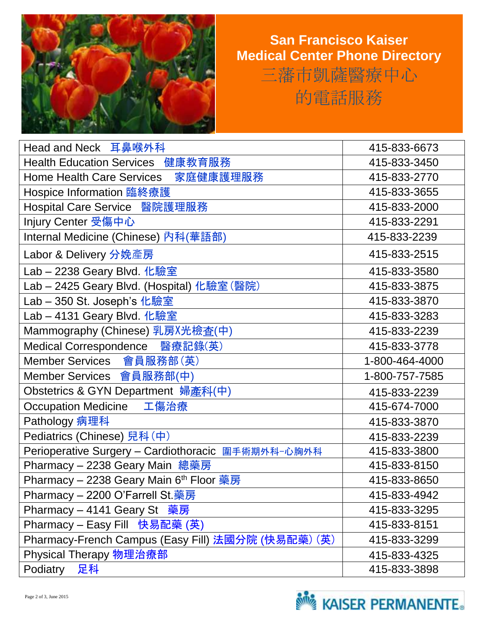

## **San Francisco Kaiser Medical Center Phone Directory**  三藩市凱薩醫療中心 的電話服務

| Head and Neck 耳鼻喉外科                                 | 415-833-6673   |
|-----------------------------------------------------|----------------|
| Health Education Services 健康教育服務                    | 415-833-3450   |
| 家庭健康護理服務<br><b>Home Health Care Services</b>        | 415-833-2770   |
| Hospice Information 臨終療護                            | 415-833-3655   |
| Hospital Care Service 醫院護理服務                        | 415-833-2000   |
| Injury Center 受傷中心                                  | 415-833-2291   |
| Internal Medicine (Chinese) 內科(華語部)                 | 415-833-2239   |
| Labor & Delivery 分娩產房                               | 415-833-2515   |
| Lab - 2238 Geary Blvd. 化驗室                          | 415-833-3580   |
| Lab - 2425 Geary Blvd. (Hospital) 化驗室 (醫院)          | 415-833-3875   |
| Lab - 350 St. Joseph's 化驗室                          | 415-833-3870   |
| Lab - 4131 Geary Blvd. 化驗室                          | 415-833-3283   |
| Mammography (Chinese) 乳房X光檢查(中)                     | 415-833-2239   |
| Medical Correspondence 醫療記錄(英)                      | 415-833-3778   |
| Member Services 會員服務部(英)                            | 1-800-464-4000 |
| Member Services 會員服務部(中)                            | 1-800-757-7585 |
| Obstetrics & GYN Department 婦產科(中)                  | 415-833-2239   |
| Occupation Medicine 工傷治療                            | 415-674-7000   |
| Pathology 病理科                                       | 415-833-3870   |
| Pediatrics (Chinese) 兒科 (中)                         | 415-833-2239   |
| Perioperative Surgery - Cardiothoracic 圍手術期外科-心胸外科  | 415-833-3800   |
| Pharmacy - 2238 Geary Main 總藥房                      | 415-833-8150   |
| Pharmacy - 2238 Geary Main 6 <sup>th</sup> Floor 藥房 | 415-833-8650   |
| Pharmacy - 2200 O'Farrell St.藥房                     | 415-833-4942   |
| Pharmacy - 4141 Geary St 藥房                         | 415-833-3295   |
| Pharmacy - Easy Fill 快易配藥 (英)                       | 415-833-8151   |
| Pharmacy-French Campus (Easy Fill) 法國分院 (快易配藥) (英)  | 415-833-3299   |
| Physical Therapy 物理治療部                              | 415-833-4325   |
| 足科<br>Podiatry                                      | 415-833-3898   |